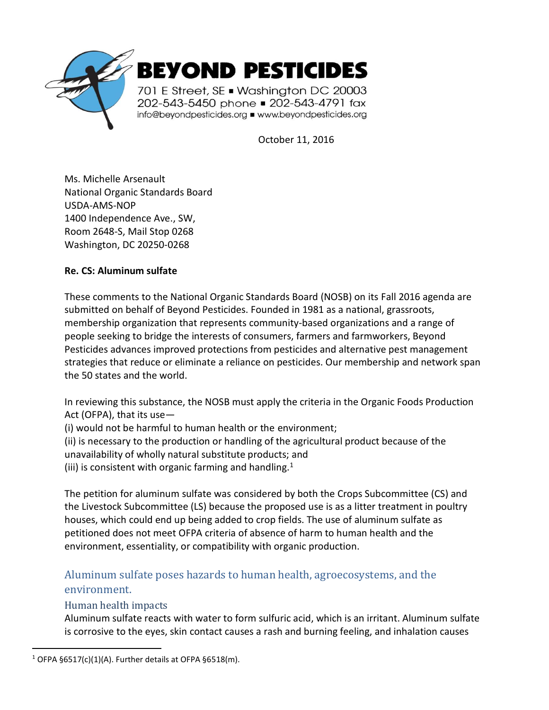

October 11, 2016

Ms. Michelle Arsenault National Organic Standards Board USDA-AMS-NOP 1400 Independence Ave., SW, Room 2648-S, Mail Stop 0268 Washington, DC 20250-0268

## **Re. CS: Aluminum sulfate**

These comments to the National Organic Standards Board (NOSB) on its Fall 2016 agenda are submitted on behalf of Beyond Pesticides. Founded in 1981 as a national, grassroots, membership organization that represents community-based organizations and a range of people seeking to bridge the interests of consumers, farmers and farmworkers, Beyond Pesticides advances improved protections from pesticides and alternative pest management strategies that reduce or eliminate a reliance on pesticides. Our membership and network span the 50 states and the world.

In reviewing this substance, the NOSB must apply the criteria in the Organic Foods Production Act (OFPA), that its use—

(i) would not be harmful to human health or the environment;

(ii) is necessary to the production or handling of the agricultural product because of the unavailability of wholly natural substitute products; and

(iii) is consistent with organic farming and handling.<sup>1</sup>

The petition for aluminum sulfate was considered by both the Crops Subcommittee (CS) and the Livestock Subcommittee (LS) because the proposed use is as a litter treatment in poultry houses, which could end up being added to crop fields. The use of aluminum sulfate as petitioned does not meet OFPA criteria of absence of harm to human health and the environment, essentiality, or compatibility with organic production.

# Aluminum sulfate poses hazards to human health, agroecosystems, and the environment.

## Human health impacts

 $\overline{a}$ 

Aluminum sulfate reacts with water to form sulfuric acid, which is an irritant. Aluminum sulfate is corrosive to the eyes, skin contact causes a rash and burning feeling, and inhalation causes

<sup>&</sup>lt;sup>1</sup> OFPA §6517(c)(1)(A). Further details at OFPA §6518(m).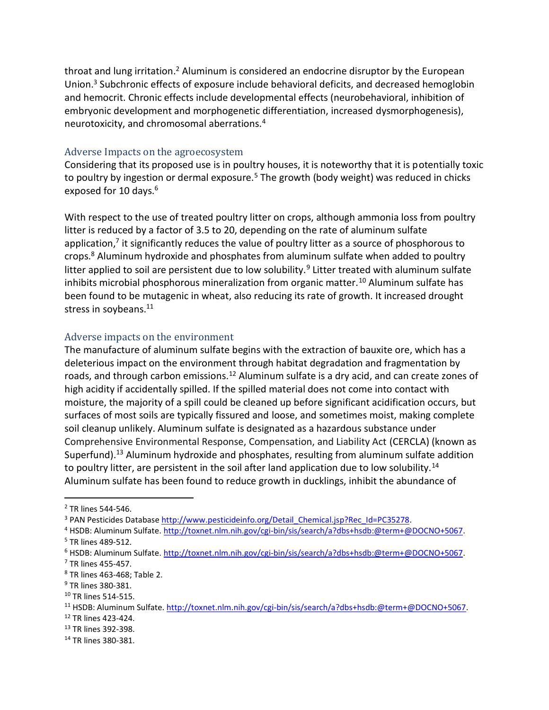throat and lung irritation.<sup>2</sup> Aluminum is considered an endocrine disruptor by the European Union. <sup>3</sup> Subchronic effects of exposure include behavioral deficits, and decreased hemoglobin and hemocrit. Chronic effects include developmental effects (neurobehavioral, inhibition of embryonic development and morphogenetic differentiation, increased dysmorphogenesis), neurotoxicity, and chromosomal aberrations.<sup>4</sup>

#### Adverse Impacts on the agroecosystem

Considering that its proposed use is in poultry houses, it is noteworthy that it is potentially toxic to poultry by ingestion or dermal exposure.<sup>5</sup> The growth (body weight) was reduced in chicks exposed for 10 days. 6

With respect to the use of treated poultry litter on crops, although ammonia loss from poultry litter is reduced by a factor of 3.5 to 20, depending on the rate of aluminum sulfate application,<sup>7</sup> it significantly reduces the value of poultry litter as a source of phosphorous to crops.<sup>8</sup> Aluminum hydroxide and phosphates from aluminum sulfate when added to poultry litter applied to soil are persistent due to low solubility.<sup>9</sup> Litter treated with aluminum sulfate inhibits microbial phosphorous mineralization from organic matter.<sup>10</sup> Aluminum sulfate has been found to be mutagenic in wheat, also reducing its rate of growth. It increased drought stress in soybeans.<sup>11</sup>

## Adverse impacts on the environment

The manufacture of aluminum sulfate begins with the extraction of bauxite ore, which has a deleterious impact on the environment through habitat degradation and fragmentation by roads, and through carbon emissions.<sup>12</sup> Aluminum sulfate is a dry acid, and can create zones of high acidity if accidentally spilled. If the spilled material does not come into contact with moisture, the majority of a spill could be cleaned up before significant acidification occurs, but surfaces of most soils are typically fissured and loose, and sometimes moist, making complete soil cleanup unlikely. Aluminum sulfate is designated as a hazardous substance under Comprehensive Environmental Response, Compensation, and Liability Act (CERCLA) (known as Superfund).<sup>13</sup> Aluminum hydroxide and phosphates, resulting from aluminum sulfate addition to poultry litter, are persistent in the soil after land application due to low solubility.<sup>14</sup> Aluminum sulfate has been found to reduce growth in ducklings, inhibit the abundance of

 $\overline{a}$ 

<sup>2</sup> TR lines 544-546.

<sup>&</sup>lt;sup>3</sup> PAN Pesticides Database [http://www.pesticideinfo.org/Detail\\_Chemical.jsp?Rec\\_Id=PC35278.](http://www.pesticideinfo.org/Detail_Chemical.jsp?Rec_Id=PC35278)

<sup>4</sup> HSDB: Aluminum Sulfate[. http://toxnet.nlm.nih.gov/cgi-bin/sis/search/a?dbs+hsdb:@term+@DOCNO+5067.](http://toxnet.nlm.nih.gov/cgi-bin/sis/search/a?dbs+hsdb:@term+@DOCNO+5067) <sup>5</sup> TR lines 489-512.

<sup>6</sup> HSDB: Aluminum Sulfate[. http://toxnet.nlm.nih.gov/cgi-bin/sis/search/a?dbs+hsdb:@term+@DOCNO+5067.](http://toxnet.nlm.nih.gov/cgi-bin/sis/search/a?dbs+hsdb:@term+@DOCNO+5067)  $<sup>7</sup>$  TR lines 455-457.</sup>

<sup>8</sup> TR lines 463-468; Table 2.

<sup>9</sup> TR lines 380-381.

<sup>10</sup> TR lines 514-515.

<sup>11</sup> HSDB: Aluminum Sulfate[. http://toxnet.nlm.nih.gov/cgi-bin/sis/search/a?dbs+hsdb:@term+@DOCNO+5067.](http://toxnet.nlm.nih.gov/cgi-bin/sis/search/a?dbs+hsdb:@term+@DOCNO+5067)

<sup>12</sup> TR lines 423-424.

<sup>&</sup>lt;sup>13</sup> TR lines 392-398.

<sup>14</sup> TR lines 380-381.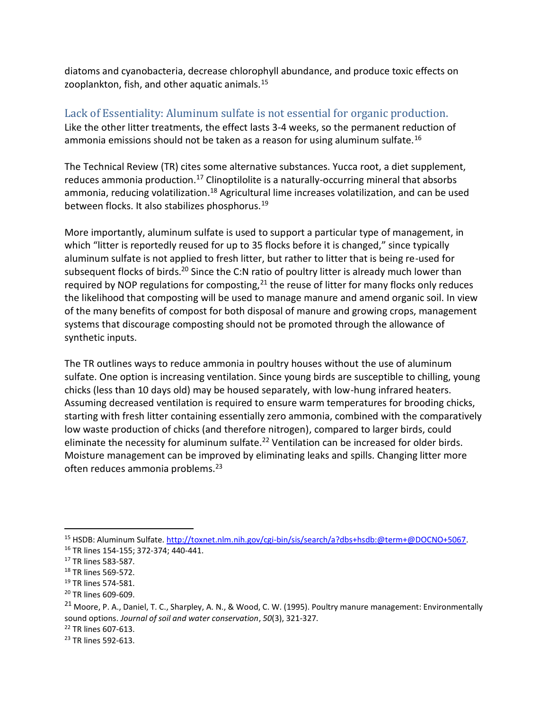diatoms and cyanobacteria, decrease chlorophyll abundance, and produce toxic effects on zooplankton, fish, and other aquatic animals.<sup>15</sup>

Lack of Essentiality: Aluminum sulfate is not essential for organic production. Like the other litter treatments, the effect lasts 3-4 weeks, so the permanent reduction of ammonia emissions should not be taken as a reason for using aluminum sulfate.<sup>16</sup>

The Technical Review (TR) cites some alternative substances. Yucca root, a diet supplement, reduces ammonia production.<sup>17</sup> Clinoptilolite is a naturally-occurring mineral that absorbs ammonia, reducing volatilization.<sup>18</sup> Agricultural lime increases volatilization, and can be used between flocks. It also stabilizes phosphorus.<sup>19</sup>

More importantly, aluminum sulfate is used to support a particular type of management, in which "litter is reportedly reused for up to 35 flocks before it is changed," since typically aluminum sulfate is not applied to fresh litter, but rather to litter that is being re-used for subsequent flocks of birds.<sup>20</sup> Since the C:N ratio of poultry litter is already much lower than required by NOP regulations for composting,  $21$  the reuse of litter for many flocks only reduces the likelihood that composting will be used to manage manure and amend organic soil. In view of the many benefits of compost for both disposal of manure and growing crops, management systems that discourage composting should not be promoted through the allowance of synthetic inputs.

The TR outlines ways to reduce ammonia in poultry houses without the use of aluminum sulfate. One option is increasing ventilation. Since young birds are susceptible to chilling, young chicks (less than 10 days old) may be housed separately, with low-hung infrared heaters. Assuming decreased ventilation is required to ensure warm temperatures for brooding chicks, starting with fresh litter containing essentially zero ammonia, combined with the comparatively low waste production of chicks (and therefore nitrogen), compared to larger birds, could eliminate the necessity for aluminum sulfate.<sup>22</sup> Ventilation can be increased for older birds. Moisture management can be improved by eliminating leaks and spills. Changing litter more often reduces ammonia problems.<sup>23</sup>

 $\overline{a}$ 

<sup>22</sup> TR lines 607-613.

<sup>15</sup> HSDB: Aluminum Sulfate[. http://toxnet.nlm.nih.gov/cgi-bin/sis/search/a?dbs+hsdb:@term+@DOCNO+5067.](http://toxnet.nlm.nih.gov/cgi-bin/sis/search/a?dbs+hsdb:@term+@DOCNO+5067) <sup>16</sup> TR lines 154-155; 372-374; 440-441.

<sup>17</sup> TR lines 583-587.

<sup>18</sup> TR lines 569-572.

<sup>19</sup> TR lines 574-581.

<sup>20</sup> TR lines 609-609.

<sup>&</sup>lt;sup>21</sup> Moore, P. A., Daniel, T. C., Sharpley, A. N., & Wood, C. W. (1995). Poultry manure management: Environmentally sound options. *Journal of soil and water conservation*, *50*(3), 321-327.

<sup>&</sup>lt;sup>23</sup> TR lines 592-613.